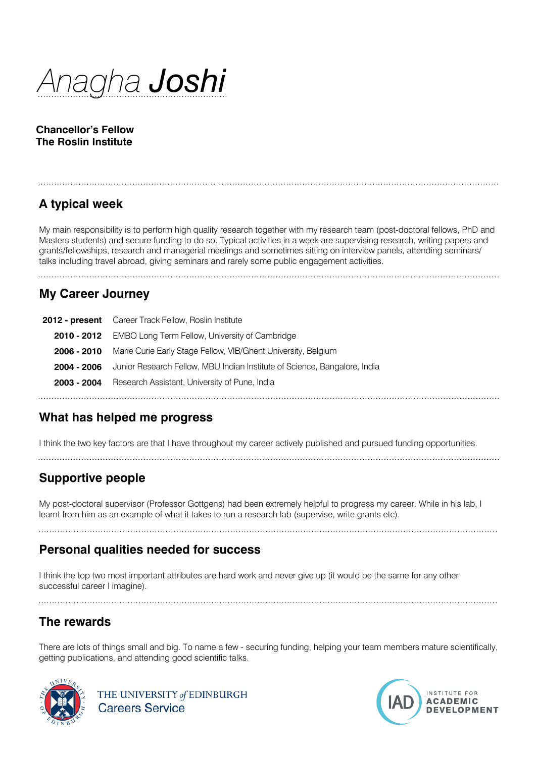*Anagha Joshi*

**Chancellor's Fellow The Roslin Institute**

# **A typical week**

My main responsibility is to perform high quality research together with my research team (post-doctoral fellows, PhD and Masters students) and secure funding to do so. Typical activities in a week are supervising research, writing papers and grants/fellowships, research and managerial meetings and sometimes sitting on interview panels, attending seminars/ talks including travel abroad, giving seminars and rarely some public engagement activities.

**My Career Journey**

| <b>2012 - present</b> Career Track Fellow, Roslin Institute                           |
|---------------------------------------------------------------------------------------|
| 2010 - 2012 EMBO Long Term Fellow, University of Cambridge                            |
| 2006 - 2010 Marie Curie Early Stage Fellow, VIB/Ghent University, Belgium             |
| 2004 - 2006 Junior Research Fellow, MBU Indian Institute of Science, Bangalore, India |
| 2003 - 2004 Research Assistant, University of Pune, India                             |
|                                                                                       |

#### **What has helped me progress**

I think the two key factors are that I have throughout my career actively published and pursued funding opportunities.

## **Supportive people**

My post-doctoral supervisor (Professor Gottgens) had been extremely helpful to progress my career. While in his lab, I learnt from him as an example of what it takes to run a research lab (supervise, write grants etc).

#### **Personal qualities needed for success**

I think the top two most important attributes are hard work and never give up (it would be the same for any other successful career I imagine).

## **The rewards**

There are lots of things small and big. To name a few - securing funding, helping your team members mature scientifically, getting publications, and attending good scientific talks.



THE UNIVERSITY of EDINBURGH **Careers Service**